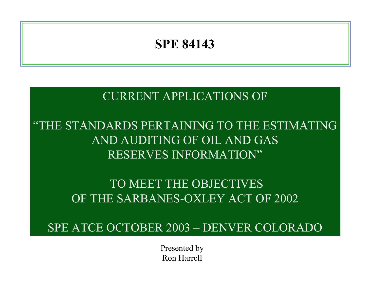## **SPE 84143**

CURRENT APPLICATIONS OF

"THE STANDARDS PERTAINING TO THE ESTIMATINGAND AUDITING OF OIL AND GASRESERVES INFORMATION"

> TO MEET THE OBJECTIVESOF THE SARBANES-OXLEY ACT OF 2002

SPE ATCE OCTOBER 2003 – DENVER COLORADO

Presented by Ron Harrell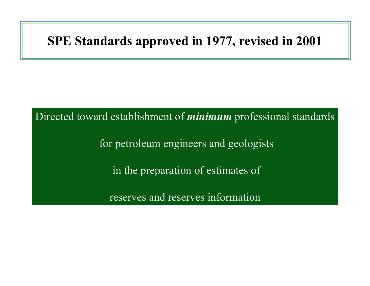## **SPE Standards approved in 1977, revised in 2001**

Directed toward establishment of *minimum* professional standards for petroleum engineers and geologists in the preparation of estimates of reserves and reserves information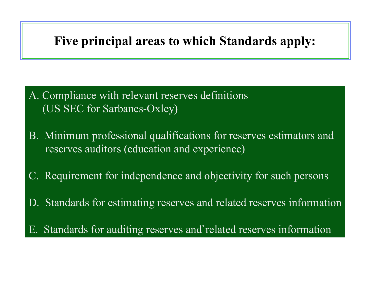# **Five principal areas to which Standards apply:**

- A. Compliance with relevant reserves definitions (US SEC for Sarbanes-Oxley)
- B. Minimum professional qualifications for reserves estimators and reserves auditors (education and experience)
- C. Requirement for independence and objectivity for such persons
- D. Standards for estimating reserves and related reserves information
- E. Standards for auditing reserves and`related reserves information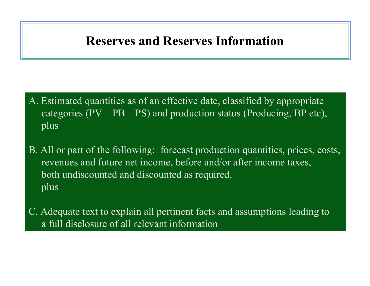## **Reserves and Reserves Information**

- A. Estimated quantities as of an effective date, classified by appropriate categories  $(PV - PB - PS)$  and production status (Producing, BP etc), plus
- B. All or part of the following: forecast production quantities, prices, costs, revenues and future net income, before and/or after income taxes, both undiscounted and discounted as required, plus
- C. Adequate text to explain all pertinent facts and assumptions leading to a full disclosure of all relevant information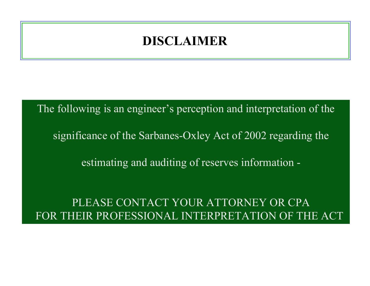## **DISCLAIMER**

The following is an engineer's perception and interpretation of the

significance of the Sarbanes-Oxley Act of 2002 regarding the

estimating and auditing of reserves information -

PLEASE CONTACT YOUR ATTORNEY OR CPA FOR THEIR PROFESSIONAL INTERPRETATION OF THE ACT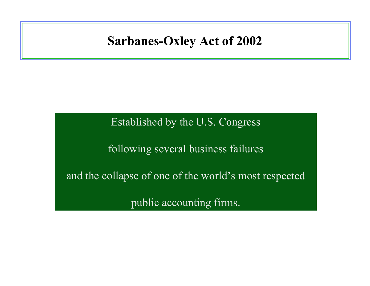## **Sarbanes-Oxley Act of 2002**

Established by the U.S. Congress

following several business failures

and the collapse of one of the world's most respected

public accounting firms.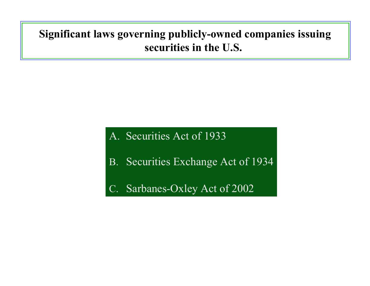## **Significant laws governing publicly-owned companies issuing securities in the U.S.**

### A. Securities Act of 1933

- B. Securities Exchange Act of 1934
- C. Sarbanes-Oxley Act of 2002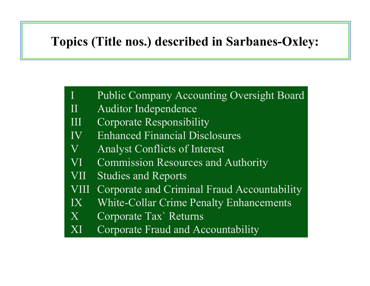# **Topics (Title nos.) described in Sarbanes-Oxley:**

- Public Company Accounting Oversight Board
- II Auditor Independence
- III Corporate Responsibility
- IV Enhanced Financial Disclosures
- V Analyst Conflicts of Interest
- VI Commission Resources and Authority
- VII Studies and Reports
- VIII Corporate and Criminal Fraud Accountability
- IX White-Collar Crime Penalty Enhancements
- X Corporate Tax` Returns
- XI Corporate Fraud and Accountability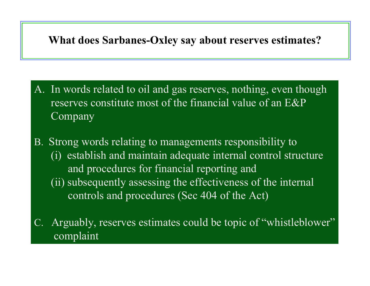### **What does Sarbanes-Oxley say about reserves estimates?**

- A. In words related to oil and gas reserves, nothing, even though reserves constitute most of the financial value of an  $E\&P$ Company
- B. Strong words relating to managements responsibility to (i) establish and maintain adequate internal control structure and procedures for financial reporting and (ii) subsequently assessing the effectiveness of the internal controls and procedures (Sec 404 of the Act)
- Arguably, reserves estimates could be topic of "whistleblower" complaint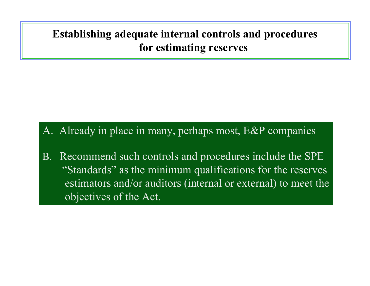### **Establishing adequate internal controls and procedures for estimating reserves**

### A. Already in place in many, perhaps most, E&P companies

B. Recommend such controls and procedures include the SPE "Standards" as the minimum qualifications for the reserves estimators and/or auditors (internal or external) to meet the objectives of the Act.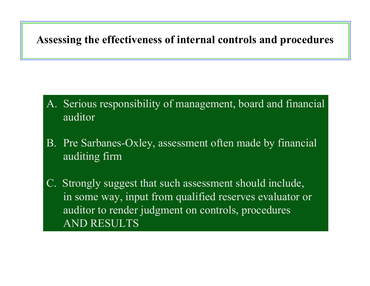### **Assessing the effectiveness of internal controls and procedures**

- A. Serious responsibility of management, board and financial auditor
- B. Pre Sarbanes-Oxley, assessment often made by financial auditing firm
- C. Strongly suggest that such assessment should include, in some way, input from qualified reserves evaluator or auditor to render judgment on controls, procedures AND RESULTS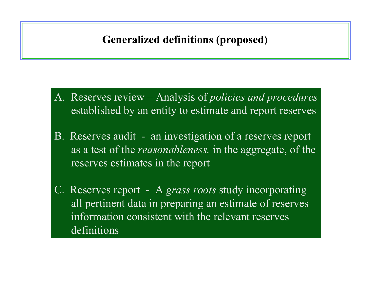### **Generalized definitions (proposed)**

- A. Reserves review Analysis of *policies and procedures* established by an entity to estimate and report reserves
- B. Reserves audit an investigation of a reserves report as a test of the *reasonableness,* in the aggregate, of the reserves estimates in the report
- C. Reserves report A *grass roots* study incorporating all pertinent data in preparing an estimate of reserves information consistent with the relevant reservesdefinitions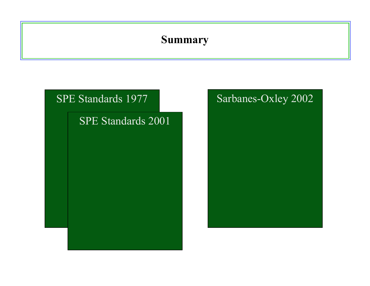### **Summary**